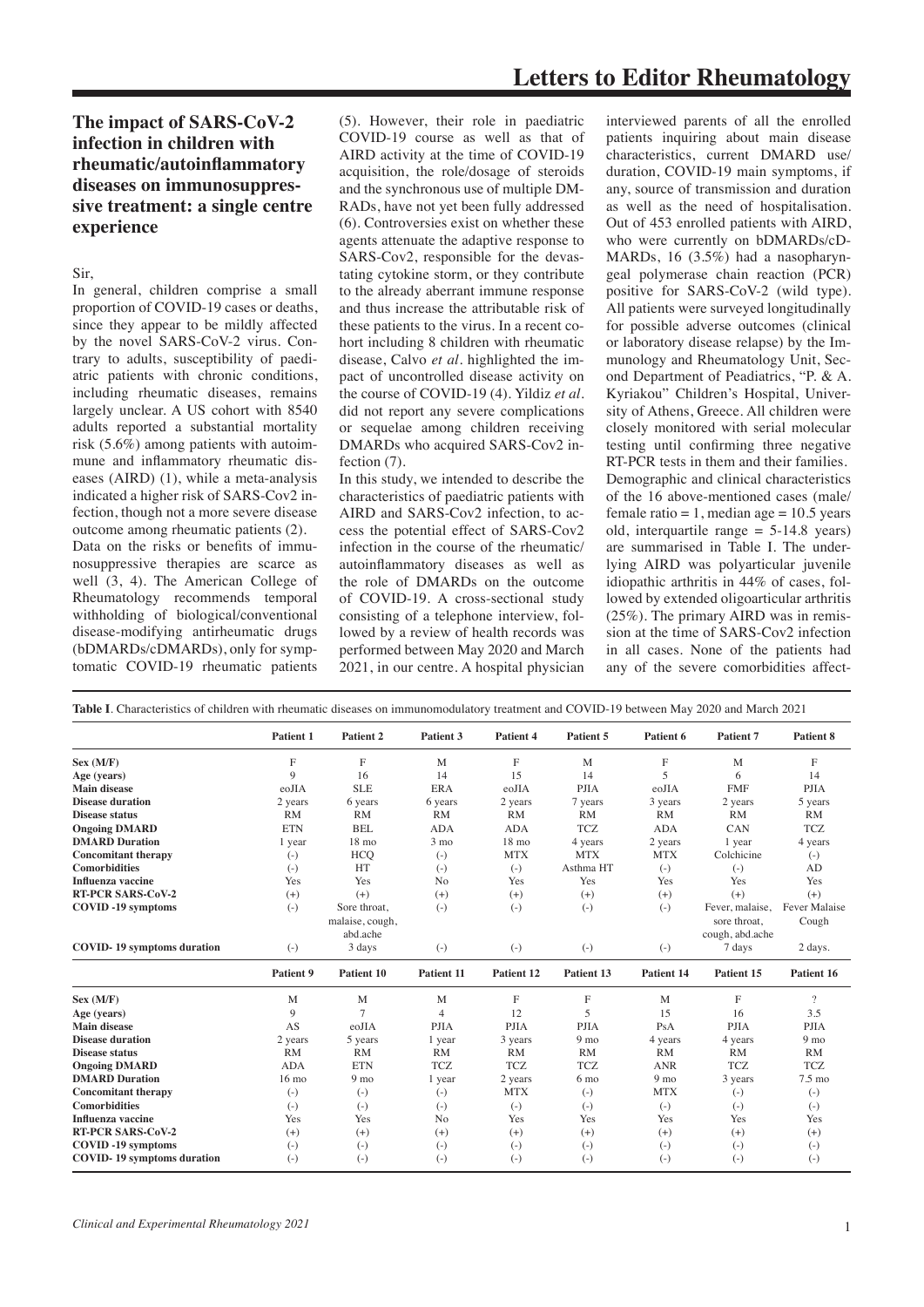## **The impact of SARS-CoV-2 infection in children with rheumatic/autoinflammatory diseases on immunosuppressive treatment: a single centre experience**

Sir,

In general, children comprise a small proportion of COVID-19 cases or deaths, since they appear to be mildly affected by the novel SARS-CoV-2 virus. Contrary to adults, susceptibility of paediatric patients with chronic conditions, including rheumatic diseases, remains largely unclear. A US cohort with 8540 adults reported a substantial mortality risk (5.6%) among patients with autoimmune and inflammatory rheumatic diseases (AIRD) (1), while a meta-analysis indicated a higher risk of SARS-Cov2 infection, though not a more severe disease outcome among rheumatic patients (2). Data on the risks or benefits of immunosuppressive therapies are scarce as well (3, 4). The American College of Rheumatology recommends temporal withholding of biological/conventional disease-modifying antirheumatic drugs (bDMARDs/cDMARDs), only for symptomatic COVID-19 rheumatic patients

(5). However, their role in paediatric COVID-19 course as well as that of AIRD activity at the time of COVID-19 acquisition, the role/dosage of steroids and the synchronous use of multiple DM-RADs, have not yet been fully addressed (6). Controversies exist on whether these agents attenuate the adaptive response to SARS-Cov2, responsible for the devastating cytokine storm, or they contribute to the already aberrant immune response and thus increase the attributable risk of these patients to the virus. In a recent cohort including 8 children with rheumatic disease, Calvo *et al*. highlighted the impact of uncontrolled disease activity on the course of COVID-19 (4). Yildiz *et al.* did not report any severe complications or sequelae among children receiving DMARDs who acquired SARS-Cov2 infection (7).

In this study, we intended to describe the characteristics of paediatric patients with AIRD and SARS-Cov2 infection, to access the potential effect of SARS-Cov2 infection in the course of the rheumatic/ autoinflammatory diseases as well as the role of DMARDs on the outcome of COVID-19. A cross-sectional study consisting of a telephone interview, followed by a review of health records was performed between May 2020 and March 2021, in our centre. A hospital physician

interviewed parents of all the enrolled patients inquiring about main disease characteristics, current DMARD use/ duration, COVID-19 main symptoms, if any, source of transmission and duration as well as the need of hospitalisation. Out of 453 enrolled patients with AIRD, who were currently on bDMARDs/cD-MARDs, 16 (3.5%) had a nasopharyngeal polymerase chain reaction (PCR) positive for SARS-CoV-2 (wild type). All patients were surveyed longitudinally for possible adverse outcomes (clinical or laboratory disease relapse) by the Immunology and Rheumatology Unit, Second Department of Peadiatrics, "P. & A. Kyriakou" Children's Hospital, University of Athens, Greece. All children were closely monitored with serial molecular testing until confirming three negative RT-PCR tests in them and their families. Demographic and clinical characteristics of the 16 above-mentioned cases (male/ female ratio  $= 1$ , median age  $= 10.5$  years old, interquartile range  $= 5-14.8$  years) are summarised in Table I. The underlying AIRD was polyarticular juvenile idiopathic arthritis in 44% of cases, followed by extended oligoarticular arthritis (25%). The primary AIRD was in remission at the time of SARS-Cov2 infection in all cases. None of the patients had any of the severe comorbidities affect-

| Table I. Characteristics of children with rheumatic diseases on immunomodulatory treatment and COVID-19 between May 2020 and March 2021 |                 |                             |                |                 |                 |                 |                                 |                  |
|-----------------------------------------------------------------------------------------------------------------------------------------|-----------------|-----------------------------|----------------|-----------------|-----------------|-----------------|---------------------------------|------------------|
|                                                                                                                                         | Patient 1       | Patient 2                   | Patient 3      | Patient 4       | Patient 5       | Patient 6       | Patient 7                       | Patient 8        |
| Sex (M/F)                                                                                                                               | F               | F                           | M              | F               | M               | F               | M                               | F                |
| Age (years)                                                                                                                             | 9               | 16                          | 14             | 15              | 14              | 5               | 6                               | 14               |
| Main disease                                                                                                                            | eoJIA           | <b>SLE</b>                  | <b>ERA</b>     | eoJIA           | <b>PJIA</b>     | eoJIA           | <b>FMF</b>                      | <b>PJIA</b>      |
| <b>Disease duration</b>                                                                                                                 | 2 years         | 6 years                     | 6 years        | 2 years         | 7 years         | 3 years         | 2 years                         | 5 years          |
| <b>Disease status</b>                                                                                                                   | RM              | <b>RM</b>                   | <b>RM</b>      | <b>RM</b>       | RM              | RM              | RM                              | RM               |
| <b>Ongoing DMARD</b>                                                                                                                    | <b>ETN</b>      | <b>BEL</b>                  | <b>ADA</b>     | <b>ADA</b>      | <b>TCZ</b>      | <b>ADA</b>      | CAN                             | <b>TCZ</b>       |
| <b>DMARD Duration</b>                                                                                                                   | 1 year          | $18 \text{ mo}$             | $3 \text{ mo}$ | $18 \text{ mo}$ | 4 years         | 2 years         | 1 year                          | 4 years          |
| <b>Concomitant therapy</b>                                                                                                              | $(-)$           | <b>HCO</b>                  | $(-)$          | <b>MTX</b>      | <b>MTX</b>      | <b>MTX</b>      | Colchicine                      | $(-)$            |
| <b>Comorbidities</b>                                                                                                                    | $(-)$           | HT                          | $(-)$          | $(-)$           | Asthma HT       | $(-)$           | $(-)$                           | AD               |
| <b>Influenza vaccine</b>                                                                                                                | Yes             | Yes                         | N <sub>0</sub> | Yes             | Yes             | Yes             | Yes                             | Yes              |
| <b>RT-PCR SARS-CoV-2</b>                                                                                                                | $(+)$           | $(+)$                       | $(+)$          | $(+)$           | $(+)$           | $(+)$           | $(+)$                           | $(+)$            |
| <b>COVID-19</b> symptoms                                                                                                                | $(-)$           | Sore throat.                | $(-)$          | $(-)$           | $(-)$           | $(-)$           | Fever, malaise,                 | Fever Malaise    |
|                                                                                                                                         |                 | malaise, cough,<br>abd.ache |                |                 |                 |                 | sore throat.<br>cough, abd.ache | Cough            |
| <b>COVID-19</b> symptoms duration                                                                                                       | $(-)$           | 3 days                      | $(-)$          | $(-)$           | $(-)$           | $(-)$           | 7 days                          | 2 days.          |
|                                                                                                                                         | Patient 9       | Patient 10                  | Patient 11     | Patient 12      | Patient 13      | Patient 14      | Patient 15                      | Patient 16       |
| Sex (M/F)                                                                                                                               | M               | M                           | M              | F               | F               | M               | $\mathbf{F}$                    | $\overline{?}$   |
| Age (years)                                                                                                                             | $\overline{9}$  | $\overline{7}$              | $\overline{4}$ | 12              | 5               | 15              | 16                              | 3.5              |
| <b>Main disease</b>                                                                                                                     | AS              | eoJIA                       | <b>PJIA</b>    | <b>PJIA</b>     | <b>PJIA</b>     | PsA             | <b>PJIA</b>                     | <b>PJIA</b>      |
| <b>Disease duration</b>                                                                                                                 | 2 years         | 5 years                     | 1 year         | 3 years         | 9 <sub>mo</sub> | 4 years         | 4 years                         | 9 <sub>mo</sub>  |
| <b>Disease status</b>                                                                                                                   | <b>RM</b>       | <b>RM</b>                   | RM             | <b>RM</b>       | RM              | RM              | RM                              | RM               |
| <b>Ongoing DMARD</b>                                                                                                                    | <b>ADA</b>      | <b>ETN</b>                  | <b>TCZ</b>     | <b>TCZ</b>      | <b>TCZ</b>      | <b>ANR</b>      | <b>TCZ</b>                      | <b>TCZ</b>       |
| <b>DMARD Duration</b>                                                                                                                   | $16 \text{ mo}$ | 9 <sub>mo</sub>             | 1 year         | 2 years         | 6 <sub>mo</sub> | 9 <sub>mo</sub> | 3 years                         | $7.5 \text{ mo}$ |
| <b>Concomitant therapy</b>                                                                                                              | $(-)$           | $(-)$                       | $(-)$          | <b>MTX</b>      | $(-)$           | <b>MTX</b>      | $(-)$                           | $(-)$            |
| <b>Comorbidities</b>                                                                                                                    | $(-)$           | $(-)$                       | $(-)$          | $(-)$           | $(-)$           | $(-)$           | $(-)$                           | $(-)$            |
| <b>Influenza vaccine</b>                                                                                                                | Yes             | Yes                         | N <sub>o</sub> | Yes             | Yes             | Yes             | Yes                             | Yes              |
| <b>RT-PCR SARS-CoV-2</b>                                                                                                                | $(+)$           | $(+)$                       | $(+)$          | $(+)$           | $(+)$           | $(+)$           | $(+)$                           | $(+)$            |
| <b>COVID-19</b> symptoms                                                                                                                | $(-)$           | $(-)$                       | $(-)$          | $(-)$           | $(-)$           | $(-)$           | $(-)$                           | $(-)$            |
| <b>COVID-19</b> symptoms duration                                                                                                       | $(-)$           | $(-)$                       | $(-)$          | $(-)$           | $(-)$           | $(-)$           | $(-)$                           | $(-)$            |